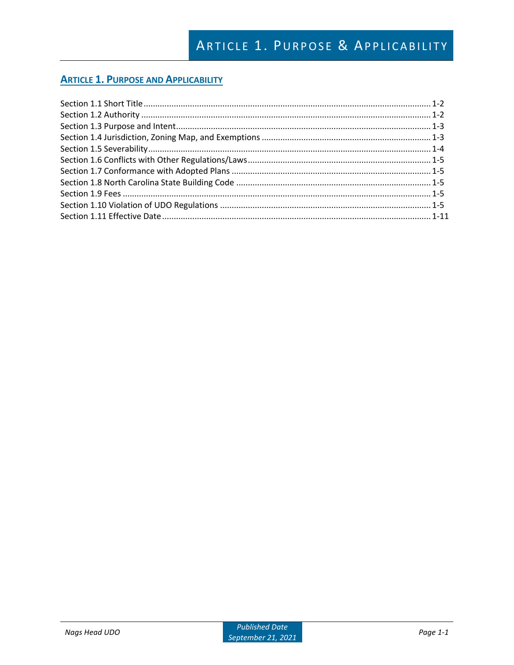# **ARTICLE 1. PURPOSE AND APPLICABILITY**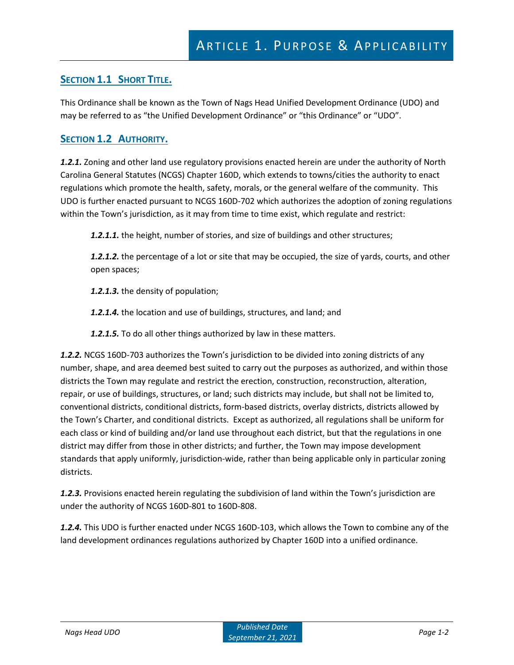## **SECTION 1.1 SHORT TITLE.**

This Ordinance shall be known as the Town of Nags Head Unified Development Ordinance (UDO) and may be referred to as "the Unified Development Ordinance" or "this Ordinance" or "UDO".

## **SECTION 1.2 AUTHORITY.**

*1.2.1.* Zoning and other land use regulatory provisions enacted herein are under the authority of North Carolina General Statutes (NCGS) Chapter 160D, which extends to towns/cities the authority to enact regulations which promote the health, safety, morals, or the general welfare of the community. This UDO is further enacted pursuant to NCGS 160D-702 which authorizes the adoption of zoning regulations within the Town's jurisdiction, as it may from time to time exist, which regulate and restrict:

*1.2.1.1.* the height, number of stories, and size of buildings and other structures;

*1.2.1.2.* the percentage of a lot or site that may be occupied, the size of yards, courts, and other open spaces;

*1.2.1.3.* the density of population;

*1.2.1.4.* the location and use of buildings, structures, and land; and

*1.2.1.5.* To do all other things authorized by law in these matters.

*1.2.2.* NCGS 160D-703 authorizes the Town's jurisdiction to be divided into zoning districts of any number, shape, and area deemed best suited to carry out the purposes as authorized, and within those districts the Town may regulate and restrict the erection, construction, reconstruction, alteration, repair, or use of buildings, structures, or land; such districts may include, but shall not be limited to, conventional districts, conditional districts, form-based districts, overlay districts, districts allowed by the Town's Charter, and conditional districts. Except as authorized, all regulations shall be uniform for each class or kind of building and/or land use throughout each district, but that the regulations in one district may differ from those in other districts; and further, the Town may impose development standards that apply uniformly, jurisdiction-wide, rather than being applicable only in particular zoning districts.

*1.2.3.* Provisions enacted herein regulating the subdivision of land within the Town's jurisdiction are under the authority of NCGS 160D-801 to 160D-808.

*1.2.4.* This UDO is further enacted under NCGS 160D-103, which allows the Town to combine any of the land development ordinances regulations authorized by Chapter 160D into a unified ordinance.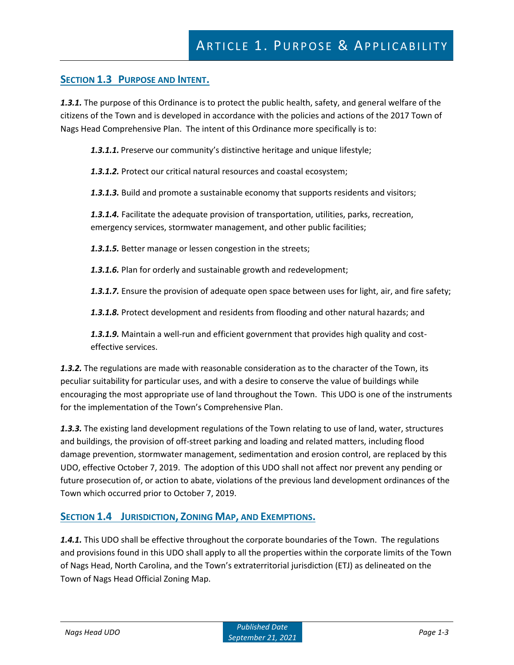## **SECTION 1.3 PURPOSE AND INTENT.**

*1.3.1.* The purpose of this Ordinance is to protect the public health, safety, and general welfare of the citizens of the Town and is developed in accordance with the policies and actions of the 2017 Town of Nags Head Comprehensive Plan. The intent of this Ordinance more specifically is to:

*1.3.1.1.* Preserve our community's distinctive heritage and unique lifestyle;

*1.3.1.2.* Protect our critical natural resources and coastal ecosystem;

*1.3.1.3.* Build and promote a sustainable economy that supports residents and visitors;

*1.3.1.4.* Facilitate the adequate provision of transportation, utilities, parks, recreation, emergency services, stormwater management, and other public facilities;

*1.3.1.5.* Better manage or lessen congestion in the streets;

*1.3.1.6.* Plan for orderly and sustainable growth and redevelopment;

*1.3.1.7.* Ensure the provision of adequate open space between uses for light, air, and fire safety;

*1.3.1.8.* Protect development and residents from flooding and other natural hazards; and

*1.3.1.9.* Maintain a well-run and efficient government that provides high quality and costeffective services.

*1.3.2.* The regulations are made with reasonable consideration as to the character of the Town, its peculiar suitability for particular uses, and with a desire to conserve the value of buildings while encouraging the most appropriate use of land throughout the Town. This UDO is one of the instruments for the implementation of the Town's Comprehensive Plan.

*1.3.3.* The existing land development regulations of the Town relating to use of land, water, structures and buildings, the provision of off-street parking and loading and related matters, including flood damage prevention, stormwater management, sedimentation and erosion control, are replaced by this UDO, effective October 7, 2019. The adoption of this UDO shall not affect nor prevent any pending or future prosecution of, or action to abate, violations of the previous land development ordinances of the Town which occurred prior to October 7, 2019.

## **SECTION 1.4 JURISDICTION, ZONING MAP, AND EXEMPTIONS.**

*1.4.1.* This UDO shall be effective throughout the corporate boundaries of the Town. The regulations and provisions found in this UDO shall apply to all the properties within the corporate limits of the Town of Nags Head, North Carolina, and the Town's extraterritorial jurisdiction (ETJ) as delineated on the Town of Nags Head Official Zoning Map.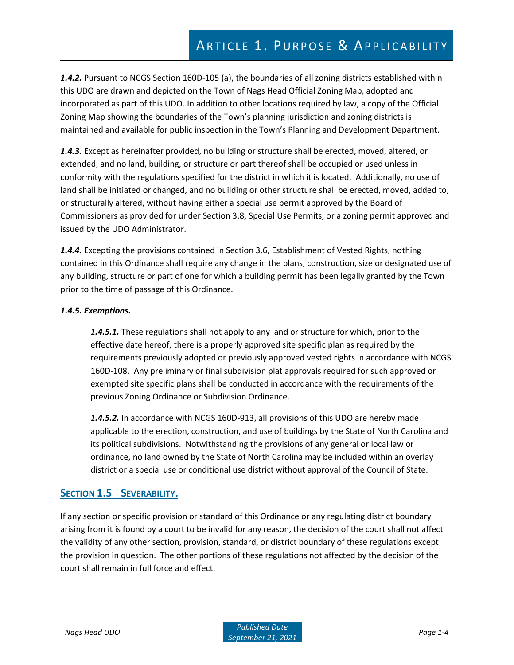*1.4.2.* Pursuant to NCGS Section 160D-105 (a), the boundaries of all zoning districts established within this UDO are drawn and depicted on the Town of Nags Head Official Zoning Map, adopted and incorporated as part of this UDO. In addition to other locations required by law, a copy of the Official Zoning Map showing the boundaries of the Town's planning jurisdiction and zoning districts is maintained and available for public inspection in the Town's Planning and Development Department.

*1.4.3.* Except as hereinafter provided, no building or structure shall be erected, moved, altered, or extended, and no land, building, or structure or part thereof shall be occupied or used unless in conformity with the regulations specified for the district in which it is located. Additionally, no use of land shall be initiated or changed, and no building or other structure shall be erected, moved, added to, or structurally altered, without having either a special use permit approved by the Board of Commissioners as provided for under Section 3.8, Special Use Permits, or a zoning permit approved and issued by the UDO Administrator.

*1.4.4.* Excepting the provisions contained in Section 3.6, Establishment of Vested Rights, nothing contained in this Ordinance shall require any change in the plans, construction, size or designated use of any building, structure or part of one for which a building permit has been legally granted by the Town prior to the time of passage of this Ordinance.

#### *1.4.5. Exemptions.*

*1.4.5.1.* These regulations shall not apply to any land or structure for which, prior to the effective date hereof, there is a properly approved site specific plan as required by the requirements previously adopted or previously approved vested rights in accordance with NCGS 160D-108. Any preliminary or final subdivision plat approvals required for such approved or exempted site specific plans shall be conducted in accordance with the requirements of the previous Zoning Ordinance or Subdivision Ordinance.

*1.4.5.2.* In accordance with NCGS 160D-913, all provisions of this UDO are hereby made applicable to the erection, construction, and use of buildings by the State of North Carolina and its political subdivisions. Notwithstanding the provisions of any general or local law or ordinance, no land owned by the State of North Carolina may be included within an overlay district or a special use or conditional use district without approval of the Council of State.

## **SECTION 1.5 SEVERABILITY.**

If any section or specific provision or standard of this Ordinance or any regulating district boundary arising from it is found by a court to be invalid for any reason, the decision of the court shall not affect the validity of any other section, provision, standard, or district boundary of these regulations except the provision in question. The other portions of these regulations not affected by the decision of the court shall remain in full force and effect.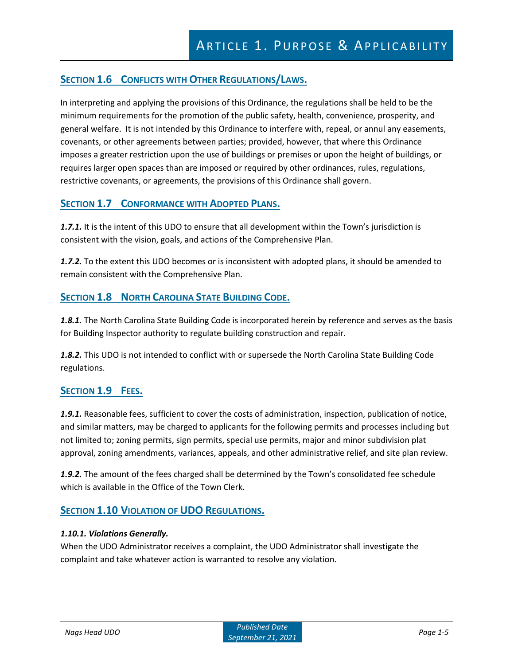# **SECTION 1.6 CONFLICTS WITH OTHER REGULATIONS/LAWS.**

In interpreting and applying the provisions of this Ordinance, the regulations shall be held to be the minimum requirements for the promotion of the public safety, health, convenience, prosperity, and general welfare. It is not intended by this Ordinance to interfere with, repeal, or annul any easements, covenants, or other agreements between parties; provided, however, that where this Ordinance imposes a greater restriction upon the use of buildings or premises or upon the height of buildings, or requires larger open spaces than are imposed or required by other ordinances, rules, regulations, restrictive covenants, or agreements, the provisions of this Ordinance shall govern.

## **SECTION 1.7 CONFORMANCE WITH ADOPTED PLANS.**

**1.7.1.** It is the intent of this UDO to ensure that all development within the Town's jurisdiction is consistent with the vision, goals, and actions of the Comprehensive Plan.

*1.7.2.* To the extent this UDO becomes or is inconsistent with adopted plans, it should be amended to remain consistent with the Comprehensive Plan.

## **SECTION 1.8 NORTH CAROLINA STATE BUILDING CODE.**

*1.8.1.* The North Carolina State Building Code is incorporated herein by reference and serves as the basis for Building Inspector authority to regulate building construction and repair.

*1.8.2.* This UDO is not intended to conflict with or supersede the North Carolina State Building Code regulations.

## **SECTION 1.9 FEES.**

*1.9.1.* Reasonable fees, sufficient to cover the costs of administration, inspection, publication of notice, and similar matters, may be charged to applicants for the following permits and processes including but not limited to; zoning permits, sign permits, special use permits, major and minor subdivision plat approval, zoning amendments, variances, appeals, and other administrative relief, and site plan review.

*1.9.2.* The amount of the fees charged shall be determined by the Town's consolidated fee schedule which is available in the Office of the Town Clerk.

## **SECTION 1.10 VIOLATION OF UDO REGULATIONS.**

#### *1.10.1. Violations Generally.*

When the UDO Administrator receives a complaint, the UDO Administrator shall investigate the complaint and take whatever action is warranted to resolve any violation.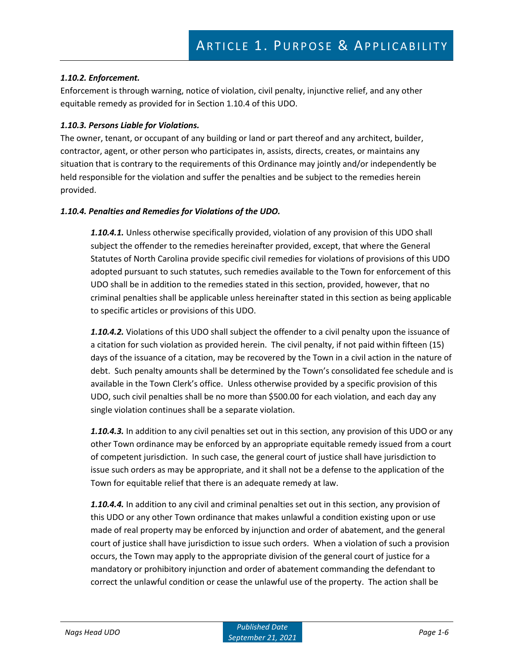#### *1.10.2. Enforcement.*

Enforcement is through warning, notice of violation, civil penalty, injunctive relief, and any other equitable remedy as provided for in Section 1.10.4 of this UDO.

#### *1.10.3. Persons Liable for Violations.*

The owner, tenant, or occupant of any building or land or part thereof and any architect, builder, contractor, agent, or other person who participates in, assists, directs, creates, or maintains any situation that is contrary to the requirements of this Ordinance may jointly and/or independently be held responsible for the violation and suffer the penalties and be subject to the remedies herein provided.

#### *1.10.4. Penalties and Remedies for Violations of the UDO.*

*1.10.4.1.* Unless otherwise specifically provided, violation of any provision of this UDO shall subject the offender to the remedies hereinafter provided, except, that where the General Statutes of North Carolina provide specific civil remedies for violations of provisions of this UDO adopted pursuant to such statutes, such remedies available to the Town for enforcement of this UDO shall be in addition to the remedies stated in this section, provided, however, that no criminal penalties shall be applicable unless hereinafter stated in this section as being applicable to specific articles or provisions of this UDO.

*1.10.4.2.* Violations of this UDO shall subject the offender to a civil penalty upon the issuance of a citation for such violation as provided herein. The civil penalty, if not paid within fifteen (15) days of the issuance of a citation, may be recovered by the Town in a civil action in the nature of debt. Such penalty amounts shall be determined by the Town's consolidated fee schedule and is available in the Town Clerk's office. Unless otherwise provided by a specific provision of this UDO, such civil penalties shall be no more than \$500.00 for each violation, and each day any single violation continues shall be a separate violation.

*1.10.4.3.* In addition to any civil penalties set out in this section, any provision of this UDO or any other Town ordinance may be enforced by an appropriate equitable remedy issued from a court of competent jurisdiction. In such case, the general court of justice shall have jurisdiction to issue such orders as may be appropriate, and it shall not be a defense to the application of the Town for equitable relief that there is an adequate remedy at law.

*1.10.4.4.* In addition to any civil and criminal penalties set out in this section, any provision of this UDO or any other Town ordinance that makes unlawful a condition existing upon or use made of real property may be enforced by injunction and order of abatement, and the general court of justice shall have jurisdiction to issue such orders. When a violation of such a provision occurs, the Town may apply to the appropriate division of the general court of justice for a mandatory or prohibitory injunction and order of abatement commanding the defendant to correct the unlawful condition or cease the unlawful use of the property. The action shall be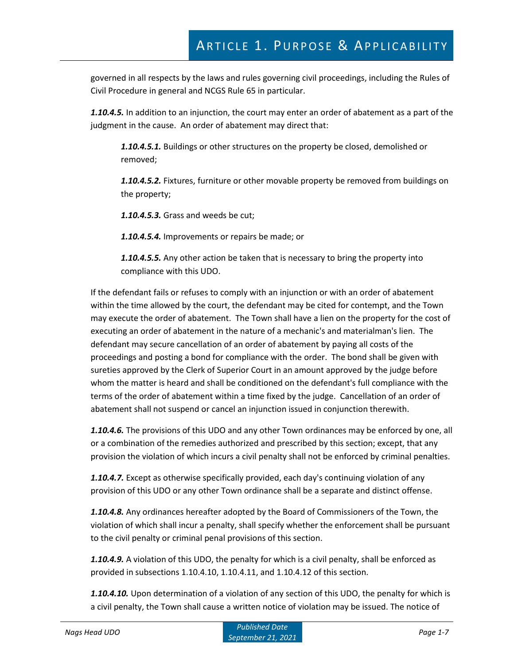governed in all respects by the laws and rules governing civil proceedings, including the Rules of Civil Procedure in general and NCGS Rule 65 in particular.

*1.10.4.5.* In addition to an injunction, the court may enter an order of abatement as a part of the judgment in the cause. An order of abatement may direct that:

*1.10.4.5.1.* Buildings or other structures on the property be closed, demolished or removed;

*1.10.4.5.2.* Fixtures, furniture or other movable property be removed from buildings on the property;

*1.10.4.5.3.* Grass and weeds be cut;

*1.10.4.5.4.* Improvements or repairs be made; or

*1.10.4.5.5.* Any other action be taken that is necessary to bring the property into compliance with this UDO.

If the defendant fails or refuses to comply with an injunction or with an order of abatement within the time allowed by the court, the defendant may be cited for contempt, and the Town may execute the order of abatement. The Town shall have a lien on the property for the cost of executing an order of abatement in the nature of a mechanic's and materialman's lien. The defendant may secure cancellation of an order of abatement by paying all costs of the proceedings and posting a bond for compliance with the order. The bond shall be given with sureties approved by the Clerk of Superior Court in an amount approved by the judge before whom the matter is heard and shall be conditioned on the defendant's full compliance with the terms of the order of abatement within a time fixed by the judge. Cancellation of an order of abatement shall not suspend or cancel an injunction issued in conjunction therewith.

*1.10.4.6.* The provisions of this UDO and any other Town ordinances may be enforced by one, all or a combination of the remedies authorized and prescribed by this section; except, that any provision the violation of which incurs a civil penalty shall not be enforced by criminal penalties.

*1.10.4.7.* Except as otherwise specifically provided, each day's continuing violation of any provision of this UDO or any other Town ordinance shall be a separate and distinct offense.

*1.10.4.8.* Any ordinances hereafter adopted by the Board of Commissioners of the Town, the violation of which shall incur a penalty, shall specify whether the enforcement shall be pursuant to the civil penalty or criminal penal provisions of this section.

*1.10.4.9.* A violation of this UDO, the penalty for which is a civil penalty, shall be enforced as provided in subsections 1.10.4.10, 1.10.4.11, and 1.10.4.12 of this section.

*1.10.4.10.* Upon determination of a violation of any section of this UDO, the penalty for which is a civil penalty, the Town shall cause a written notice of violation may be issued. The notice of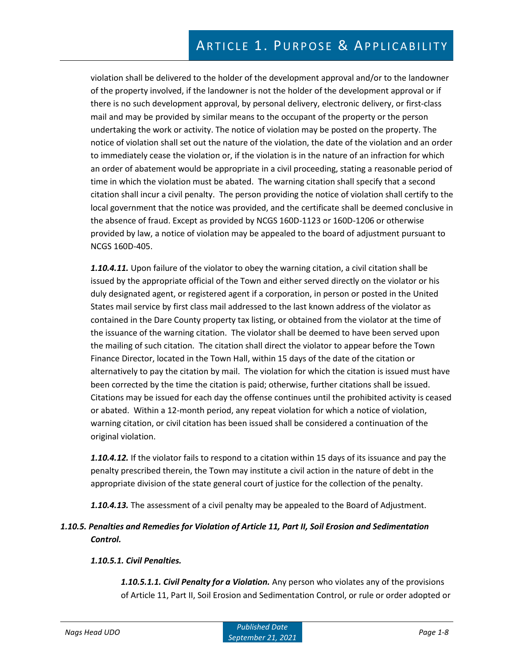violation shall be delivered to the holder of the development approval and/or to the landowner of the property involved, if the landowner is not the holder of the development approval or if there is no such development approval, by personal delivery, electronic delivery, or first-class mail and may be provided by similar means to the occupant of the property or the person undertaking the work or activity. The notice of violation may be posted on the property. The notice of violation shall set out the nature of the violation, the date of the violation and an order to immediately cease the violation or, if the violation is in the nature of an infraction for which an order of abatement would be appropriate in a civil proceeding, stating a reasonable period of time in which the violation must be abated. The warning citation shall specify that a second citation shall incur a civil penalty. The person providing the notice of violation shall certify to the local government that the notice was provided, and the certificate shall be deemed conclusive in the absence of fraud. Except as provided by NCGS 160D-1123 or 160D-1206 or otherwise provided by law, a notice of violation may be appealed to the board of adjustment pursuant to NCGS 160D-405.

*1.10.4.11.* Upon failure of the violator to obey the warning citation, a civil citation shall be issued by the appropriate official of the Town and either served directly on the violator or his duly designated agent, or registered agent if a corporation, in person or posted in the United States mail service by first class mail addressed to the last known address of the violator as contained in the Dare County property tax listing, or obtained from the violator at the time of the issuance of the warning citation. The violator shall be deemed to have been served upon the mailing of such citation. The citation shall direct the violator to appear before the Town Finance Director, located in the Town Hall, within 15 days of the date of the citation or alternatively to pay the citation by mail. The violation for which the citation is issued must have been corrected by the time the citation is paid; otherwise, further citations shall be issued. Citations may be issued for each day the offense continues until the prohibited activity is ceased or abated. Within a 12-month period, any repeat violation for which a notice of violation, warning citation, or civil citation has been issued shall be considered a continuation of the original violation.

*1.10.4.12.* If the violator fails to respond to a citation within 15 days of its issuance and pay the penalty prescribed therein, the Town may institute a civil action in the nature of debt in the appropriate division of the state general court of justice for the collection of the penalty.

*1.10.4.13.* The assessment of a civil penalty may be appealed to the Board of Adjustment.

## *1.10.5. Penalties and Remedies for Violation of Article 11, Part II, Soil Erosion and Sedimentation Control.*

#### *1.10.5.1. Civil Penalties.*

*1.10.5.1.1. Civil Penalty for a Violation.* Any person who violates any of the provisions of Article 11, Part II, Soil Erosion and Sedimentation Control, or rule or order adopted or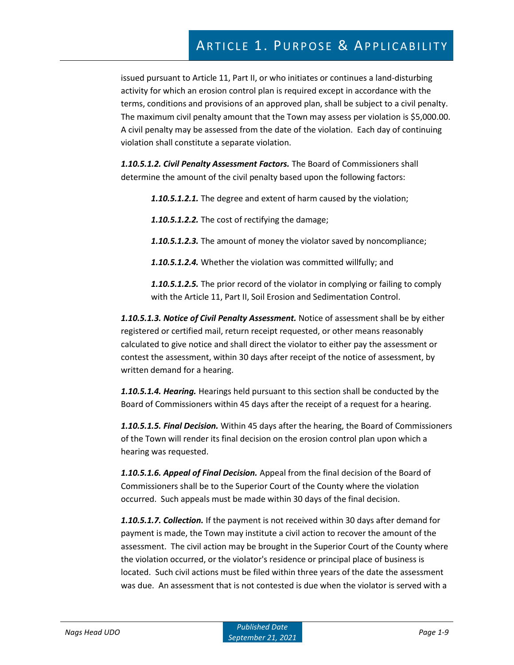# ARTICLE 1. PURPOSE & APPLICABILITY

issued pursuant to Article 11, Part II, or who initiates or continues a land-disturbing activity for which an erosion control plan is required except in accordance with the terms, conditions and provisions of an approved plan, shall be subject to a civil penalty. The maximum civil penalty amount that the Town may assess per violation is \$5,000.00. A civil penalty may be assessed from the date of the violation. Each day of continuing violation shall constitute a separate violation.

*1.10.5.1.2. Civil Penalty Assessment Factors.* The Board of Commissioners shall determine the amount of the civil penalty based upon the following factors:

*1.10.5.1.2.1.* The degree and extent of harm caused by the violation;

*1.10.5.1.2.2.* The cost of rectifying the damage;

*1.10.5.1.2.3.* The amount of money the violator saved by noncompliance;

*1.10.5.1.2.4.* Whether the violation was committed willfully; and

*1.10.5.1.2.5.* The prior record of the violator in complying or failing to comply with the Article 11, Part II, Soil Erosion and Sedimentation Control.

*1.10.5.1.3. Notice of Civil Penalty Assessment.* Notice of assessment shall be by either registered or certified mail, return receipt requested, or other means reasonably calculated to give notice and shall direct the violator to either pay the assessment or contest the assessment, within 30 days after receipt of the notice of assessment, by written demand for a hearing.

*1.10.5.1.4. Hearing.* Hearings held pursuant to this section shall be conducted by the Board of Commissioners within 45 days after the receipt of a request for a hearing.

*1.10.5.1.5. Final Decision.* Within 45 days after the hearing, the Board of Commissioners of the Town will render its final decision on the erosion control plan upon which a hearing was requested.

*1.10.5.1.6. Appeal of Final Decision.* Appeal from the final decision of the Board of Commissioners shall be to the Superior Court of the County where the violation occurred. Such appeals must be made within 30 days of the final decision.

*1.10.5.1.7. Collection.* If the payment is not received within 30 days after demand for payment is made, the Town may institute a civil action to recover the amount of the assessment. The civil action may be brought in the Superior Court of the County where the violation occurred, or the violator's residence or principal place of business is located. Such civil actions must be filed within three years of the date the assessment was due. An assessment that is not contested is due when the violator is served with a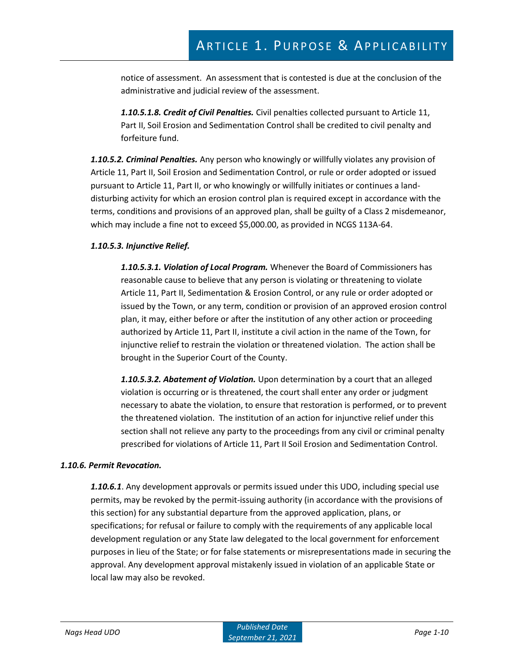notice of assessment. An assessment that is contested is due at the conclusion of the administrative and judicial review of the assessment.

*1.10.5.1.8. Credit of Civil Penalties.* Civil penalties collected pursuant to Article 11, Part II, Soil Erosion and Sedimentation Control shall be credited to civil penalty and forfeiture fund.

*1.10.5.2. Criminal Penalties.* Any person who knowingly or willfully violates any provision of Article 11, Part II, Soil Erosion and Sedimentation Control, or rule or order adopted or issued pursuant to Article 11, Part II, or who knowingly or willfully initiates or continues a landdisturbing activity for which an erosion control plan is required except in accordance with the terms, conditions and provisions of an approved plan, shall be guilty of a Class 2 misdemeanor, which may include a fine not to exceed \$5,000.00, as provided in NCGS 113A-64.

#### *1.10.5.3. Injunctive Relief.*

*1.10.5.3.1. Violation of Local Program.* Whenever the Board of Commissioners has reasonable cause to believe that any person is violating or threatening to violate Article 11, Part II, Sedimentation & Erosion Control, or any rule or order adopted or issued by the Town, or any term, condition or provision of an approved erosion control plan, it may, either before or after the institution of any other action or proceeding authorized by Article 11, Part II, institute a civil action in the name of the Town, for injunctive relief to restrain the violation or threatened violation. The action shall be brought in the Superior Court of the County.

*1.10.5.3.2. Abatement of Violation.* Upon determination by a court that an alleged violation is occurring or is threatened, the court shall enter any order or judgment necessary to abate the violation, to ensure that restoration is performed, or to prevent the threatened violation. The institution of an action for injunctive relief under this section shall not relieve any party to the proceedings from any civil or criminal penalty prescribed for violations of Article 11, Part II Soil Erosion and Sedimentation Control.

#### *1.10.6. Permit Revocation.*

*1.10.6.1*. Any development approvals or permits issued under this UDO, including special use permits, may be revoked by the permit-issuing authority (in accordance with the provisions of this section) for any substantial departure from the approved application, plans, or specifications; for refusal or failure to comply with the requirements of any applicable local development regulation or any State law delegated to the local government for enforcement purposes in lieu of the State; or for false statements or misrepresentations made in securing the approval. Any development approval mistakenly issued in violation of an applicable State or local law may also be revoked.